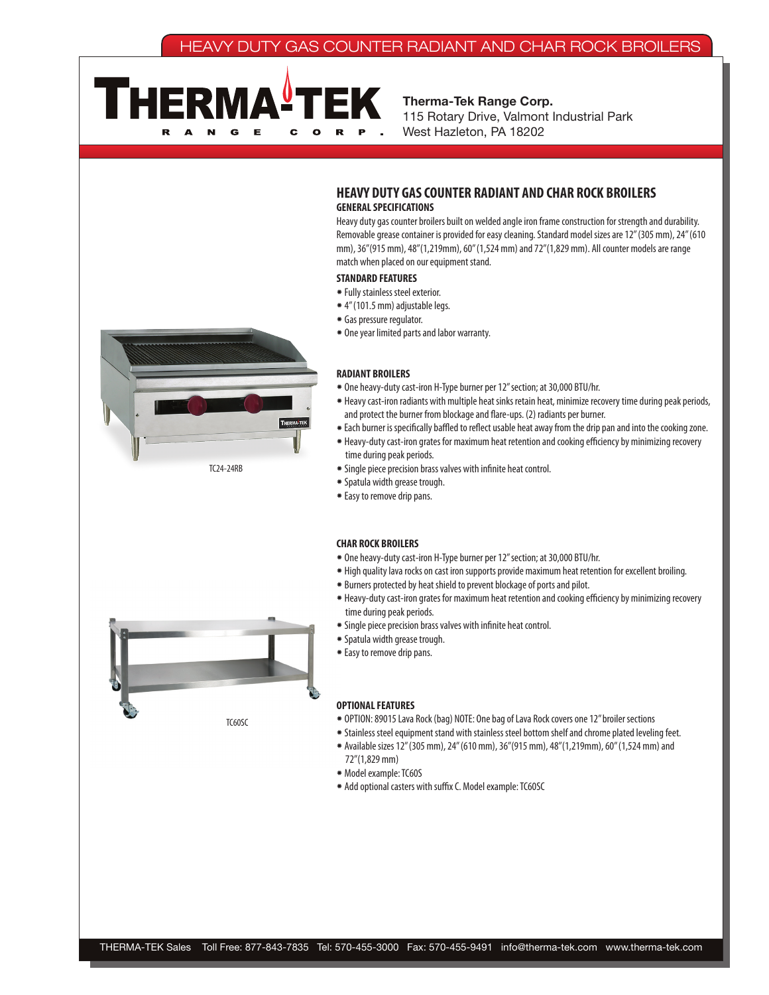# HEAVY DUTY GAS COUNTER RADIANT AND CHAR ROCK BROILERS



Therma-Tek Range Corp. 115 Rotary Drive, Valmont Industrial Park West Hazleton, PA 18202



TC24-24RB



Heavy duty gas counter broilers built on welded angle iron frame construction for strength and durability. Removable grease container is provided for easy cleaning. Standard model sizes are 12" (305 mm), 24" (610 mm), 36"(915 mm), 48"(1,219mm), 60" (1,524 mm) and 72"(1,829 mm). All counter models are range match when placed on our equipment stand.

## **STANDARD FEATURES**

- ✹ Fully stainless steel exterior.
- ✹ 4" (101.5 mm) adjustable legs.
- ✹ Gas pressure regulator.
- ✹ One year limited parts and labor warranty.

#### **RADIANT BROILERS**

- ✹ One heavy-duty cast-iron H-Type burner per 12" section; at 30,000 BTU/hr.
- ✹ Heavy cast-iron radiants with multiple heat sinks retain heat, minimize recovery time during peak periods, and protect the burner from blockage and flare-ups. (2) radiants per burner.
- ✹ Each burner is specifically baffled to reflect usable heat away from the drip pan and into the cooking zone.
- ✹ Heavy-duty cast-iron grates for maximum heat retention and cooking efficiency by minimizing recovery time during peak periods.
- ✹ Single piece precision brass valves with infinite heat control.
- ✹ Spatula width grease trough.
- ✹ Easy to remove drip pans.

#### **CHAR ROCK BROILERS**

- ✹ One heavy-duty cast-iron H-Type burner per 12" section; at 30,000 BTU/hr.
- ✹ High quality lava rocks on cast iron supports provide maximum heat retention for excellent broiling.
- ✹ Burners protected by heat shield to prevent blockage of ports and pilot.
- ✹ Heavy-duty cast-iron grates for maximum heat retention and cooking efficiency by minimizing recovery time during peak periods.
- ✹ Single piece precision brass valves with infinite heat control.
- ✹ Spatula width grease trough.
- ✹ Easy to remove drip pans.

#### **OPTIONAL FEATURES**

- ✹ OPTION: 89015 Lava Rock (bag) NOTE: One bag of Lava Rock covers one 12" broiler sections
- ✹ Stainless steel equipment stand with stainless steel bottom shelf and chrome plated leveling feet.
- ✹ Available sizes 12" (305 mm), 24" (610 mm), 36"(915 mm), 48"(1,219mm), 60" (1,524 mm) and 72"(1,829 mm)
- ✹ Model example: TC60S
- ✹ Add optional casters with suffix C. Model example: TC60SC



TC60SC